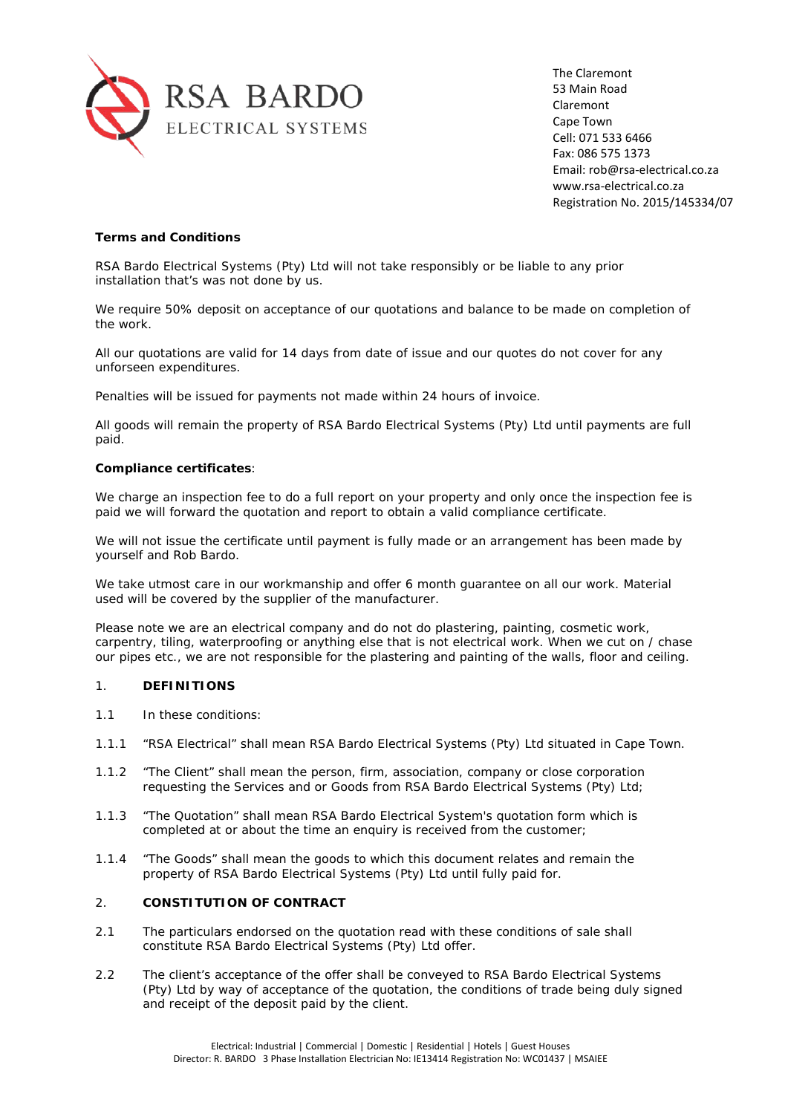

The Claremont 53 Main Road Claremont Cape Town Cell: 071 533 6466 Fax: 086 575 1373 Email: rob@rsa-electrical.co.za www.rsa-electrical.co.za Registration No. 2015/145334/07

# **Terms and Conditions**

RSA Bardo Electrical Systems (Pty) Ltd will not take responsibly or be liable to any prior installation that's was not done by us.

We require 50% deposit on acceptance of our quotations and balance to be made on completion of the work.

All our quotations are valid for 14 days from date of issue and our quotes do not cover for any unforseen expenditures.

Penalties will be issued for payments not made within 24 hours of invoice.

All goods will remain the property of RSA Bardo Electrical Systems (Pty) Ltd until payments are full paid.

### **Compliance certificates**:

We charge an inspection fee to do a full report on your property and only once the inspection fee is paid we will forward the quotation and report to obtain a valid compliance certificate.

We will not issue the certificate until payment is fully made or an arrangement has been made by yourself and Rob Bardo.

We take utmost care in our workmanship and offer 6 month guarantee on all our work. Material used will be covered by the supplier of the manufacturer.

Please note we are an electrical company and do not do plastering, painting, cosmetic work, carpentry, tiling, waterproofing or anything else that is not electrical work. When we cut on / chase our pipes etc., we are not responsible for the plastering and painting of the walls, floor and ceiling.

# 1. **DEFINITIONS**

- 1.1 In these conditions:
- 1.1.1 "RSA Electrical" shall mean RSA Bardo Electrical Systems (Pty) Ltd situated in Cape Town.
- 1.1.2 "The Client" shall mean the person, firm, association, company or close corporation requesting the Services and or Goods from RSA Bardo Electrical Systems (Pty) Ltd;
- 1.1.3 "The Quotation" shall mean RSA Bardo Electrical System's quotation form which is completed at or about the time an enquiry is received from the customer;
- 1.1.4 "The Goods" shall mean the goods to which this document relates and remain the property of RSA Bardo Electrical Systems (Pty) Ltd until fully paid for.

# 2. **CONSTITUTION OF CONTRACT**

- 2.1 The particulars endorsed on the quotation read with these conditions of sale shall constitute RSA Bardo Electrical Systems (Pty) Ltd offer.
- 2.2 The client's acceptance of the offer shall be conveyed to RSA Bardo Electrical Systems (Pty) Ltd by way of acceptance of the quotation, the conditions of trade being duly signed and receipt of the deposit paid by the client.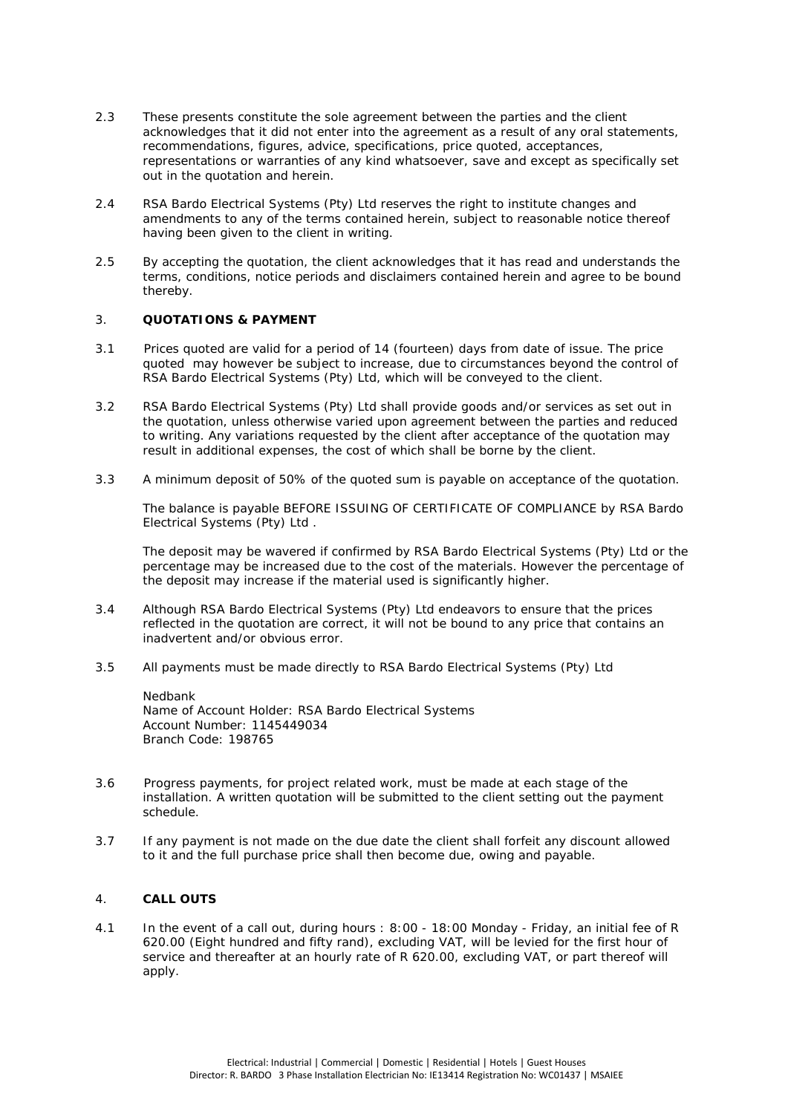- 2.3 These presents constitute the sole agreement between the parties and the client acknowledges that it did not enter into the agreement as a result of any oral statements, recommendations, figures, advice, specifications, price quoted, acceptances, representations or warranties of any kind whatsoever, save and except as specifically set out in the quotation and herein.
- 2.4 RSA Bardo Electrical Systems (Pty) Ltd reserves the right to institute changes and amendments to any of the terms contained herein, subject to reasonable notice thereof having been given to the client in writing.
- 2.5 By accepting the quotation, the client acknowledges that it has read and understands the terms, conditions, notice periods and disclaimers contained herein and agree to be bound thereby.

# 3. **QUOTATIONS & PAYMENT**

- 3.1 Prices quoted are valid for a period of 14 (fourteen) days from date of issue. The price quoted may however be subject to increase, due to circumstances beyond the control of RSA Bardo Electrical Systems (Pty) Ltd, which will be conveyed to the client.
- 3.2 RSA Bardo Electrical Systems (Pty) Ltd shall provide goods and/or services as set out in the quotation, unless otherwise varied upon agreement between the parties and reduced to writing. Any variations requested by the client after acceptance of the quotation may result in additional expenses, the cost of which shall be borne by the client.
- 3.3 *A minimum deposit of 50% of the quoted sum is payable on acceptance of the quotation*.

The balance is payable BEFORE ISSUING OF CERTIFICATE OF COMPLIANCE by RSA Bardo Electrical Systems (Pty) Ltd .

The deposit may be wavered if confirmed by RSA Bardo Electrical Systems (Pty) Ltd or the percentage may be increased due to the cost of the materials. However the percentage of the deposit may increase if the material used is significantly higher.

- 3.4 Although RSA Bardo Electrical Systems (Pty) Ltd endeavors to ensure that the prices reflected in the quotation are correct, it will not be bound to any price that contains an inadvertent and/or obvious error.
- 3.5 All payments must be made directly to RSA Bardo Electrical Systems (Pty) Ltd

Nedbank Name of Account Holder: RSA Bardo Electrical Systems Account Number: 1145449034 Branch Code: 198765

- 3.6 Progress payments, for project related work, must be made at each stage of the installation. A written quotation will be submitted to the client setting out the payment schedule.
- 3.7 If any payment is not made on the due date the client shall forfeit any discount allowed to it and the full purchase price shall then become due, owing and payable.

# 4. **CALL OUTS**

4.1 In the event of a call out, during hours : 8:00 - 18:00 Monday - Friday, an initial fee of R 620.00 (Eight hundred and fifty rand), excluding VAT, will be levied for the first hour of service and thereafter at an hourly rate of R 620.00, excluding VAT, or part thereof will apply.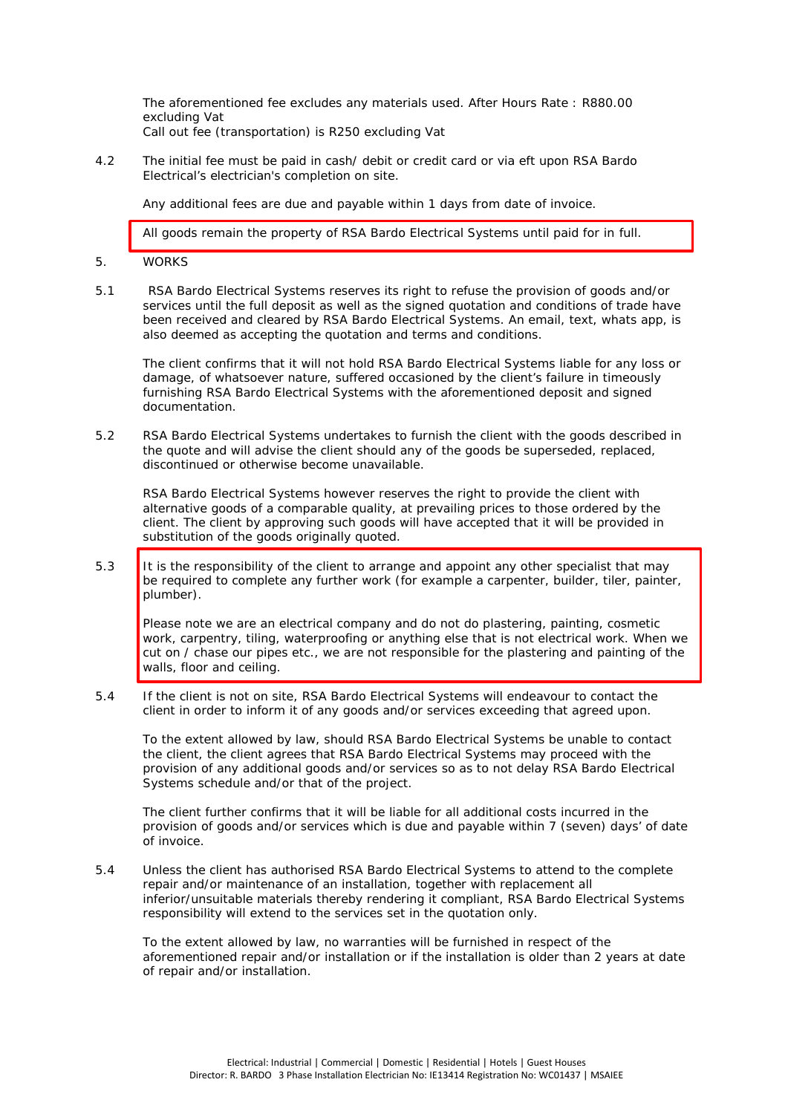The aforementioned fee excludes any materials used. After Hours Rate : R880.00 excluding Vat Call out fee (transportation) is R250 excluding Vat

4.2 The initial fee must be paid in cash/ debit or credit card or via eft upon RSA Bardo Electrical's electrician's completion on site.

Any additional fees are due and payable within 1 days from date of invoice.

All goods remain the property of RSA Bardo Electrical Systems until paid for in full.

#### 5. WORKS

5.1 RSA Bardo Electrical Systems reserves its right to refuse the provision of goods and/or services until the full deposit as well as the signed quotation and conditions of trade have been received and cleared by RSA Bardo Electrical Systems. An email, text, whats app, is also deemed as accepting the quotation and terms and conditions.

The client confirms that it will not hold RSA Bardo Electrical Systems liable for any loss or damage, of whatsoever nature, suffered occasioned by the client's failure in timeously furnishing RSA Bardo Electrical Systems with the aforementioned deposit and signed documentation.

5.2 RSA Bardo Electrical Systems undertakes to furnish the client with the goods described in the quote and will advise the client should any of the goods be superseded, replaced, discontinued or otherwise become unavailable.

RSA Bardo Electrical Systems however reserves the right to provide the client with alternative goods of a comparable quality, at prevailing prices to those ordered by the client. The client by approving such goods will have accepted that it will be provided in substitution of the goods originally quoted.

5.3 It is the responsibility of the client to arrange and appoint any other specialist that may be required to complete any further work (for example a carpenter, builder, tiler, painter, plumber).

Please note we are an electrical company *and do not do plastering, painting, cosmetic work, carpentry, tiling, waterproofing or anything else that is not electrical work. When we cut on / chase our pipes etc., we are not responsible for the plastering and painting of the walls, floor and ceiling.*

5.4 If the client is not on site, RSA Bardo Electrical Systems will endeavour to contact the client in order to inform it of any goods and/or services exceeding that agreed upon.

To the extent allowed by law, should RSA Bardo Electrical Systems be unable to contact the client, the client agrees that RSA Bardo Electrical Systems may proceed with the provision of any additional goods and/or services so as to not delay RSA Bardo Electrical Systems schedule and/or that of the project.

The client further confirms that it will be liable for all additional costs incurred in the provision of goods and/or services which is due and payable within 7 (seven) days' of date of invoice.

5.4 Unless the client has authorised RSA Bardo Electrical Systems to attend to the complete repair and/or maintenance of an installation, together with replacement all inferior/unsuitable materials thereby rendering it compliant, RSA Bardo Electrical Systems responsibility will extend to the services set in the quotation only.

To the extent allowed by law, no warranties will be furnished in respect of the aforementioned repair and/or installation or if the installation is older than 2 years at date of repair and/or installation.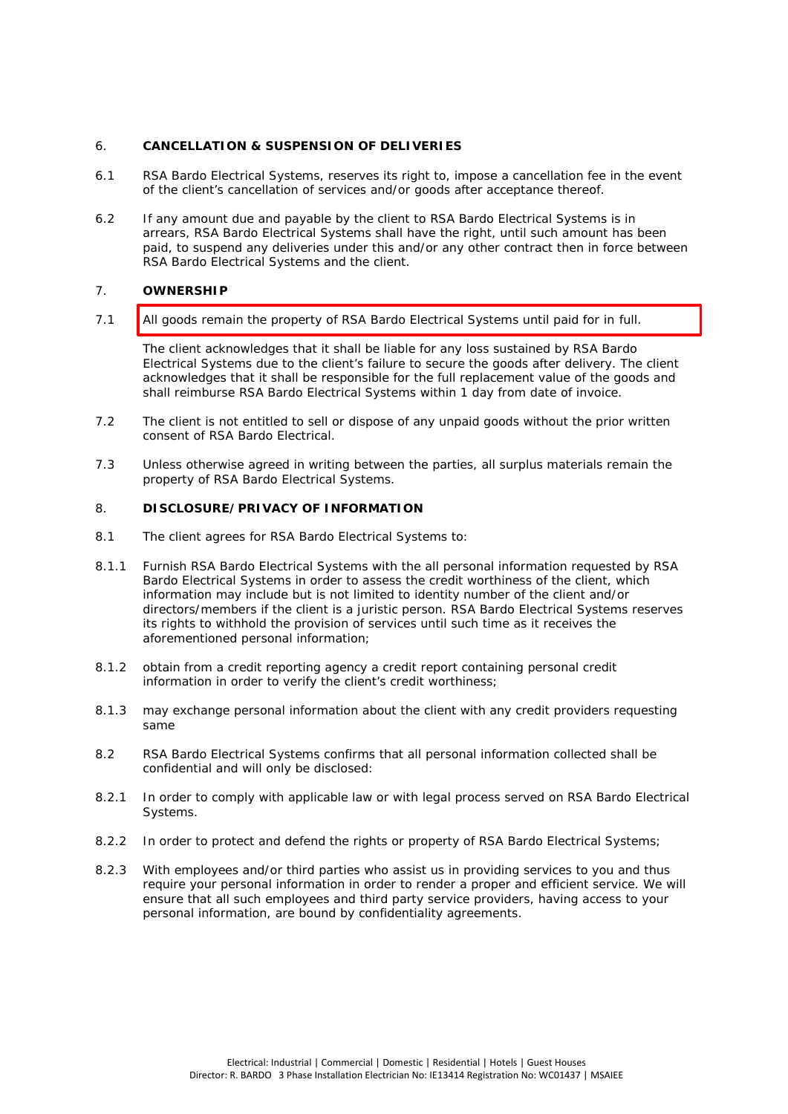### 6. **CANCELLATION & SUSPENSION OF DELIVERIES**

- 6.1 RSA Bardo Electrical Systems, reserves its right to, impose a cancellation fee in the event of the client's cancellation of services and/or goods after acceptance thereof.
- 6.2 If any amount due and payable by the client to RSA Bardo Electrical Systems is in arrears, RSA Bardo Electrical Systems shall have the right, until such amount has been paid, to suspend any deliveries under this and/or any other contract then in force between RSA Bardo Electrical Systems and the client.

# 7. **OWNERSHIP**

7.1 **All goods remain the property of RSA Bardo Electrical Systems until paid for in full.** 

The client acknowledges that it shall be liable for any loss sustained by RSA Bardo Electrical Systems due to the client's failure to secure the goods after delivery. The client acknowledges that it shall be responsible for the full replacement value of the goods and shall reimburse RSA Bardo Electrical Systems within 1 day from date of invoice.

- 7.2 The client is not entitled to sell or dispose of any unpaid goods without the prior written consent of RSA Bardo Electrical.
- 7.3 Unless otherwise agreed in writing between the parties, all surplus materials remain the property of RSA Bardo Electrical Systems.

### 8. **DISCLOSURE/PRIVACY OF INFORMATION**

- 8.1 The client agrees for RSA Bardo Electrical Systems to:
- 8.1.1 Furnish RSA Bardo Electrical Systems with the all personal information requested by RSA Bardo Electrical Systems in order to assess the credit worthiness of the client, which information may include but is not limited to identity number of the client and/or directors/members if the client is a juristic person. RSA Bardo Electrical Systems reserves its rights to withhold the provision of services until such time as it receives the aforementioned personal information;
- 8.1.2 obtain from a credit reporting agency a credit report containing personal credit information in order to verify the client's credit worthiness;
- 8.1.3 may exchange personal information about the client with any credit providers requesting same
- 8.2 RSA Bardo Electrical Systems confirms that all personal information collected shall be confidential and will only be disclosed:
- 8.2.1 In order to comply with applicable law or with legal process served on RSA Bardo Electrical Systems.
- 8.2.2 In order to protect and defend the rights or property of RSA Bardo Electrical Systems;
- 8.2.3 With employees and/or third parties who assist us in providing services to you and thus require your personal information in order to render a proper and efficient service. We will ensure that all such employees and third party service providers, having access to your personal information, are bound by confidentiality agreements.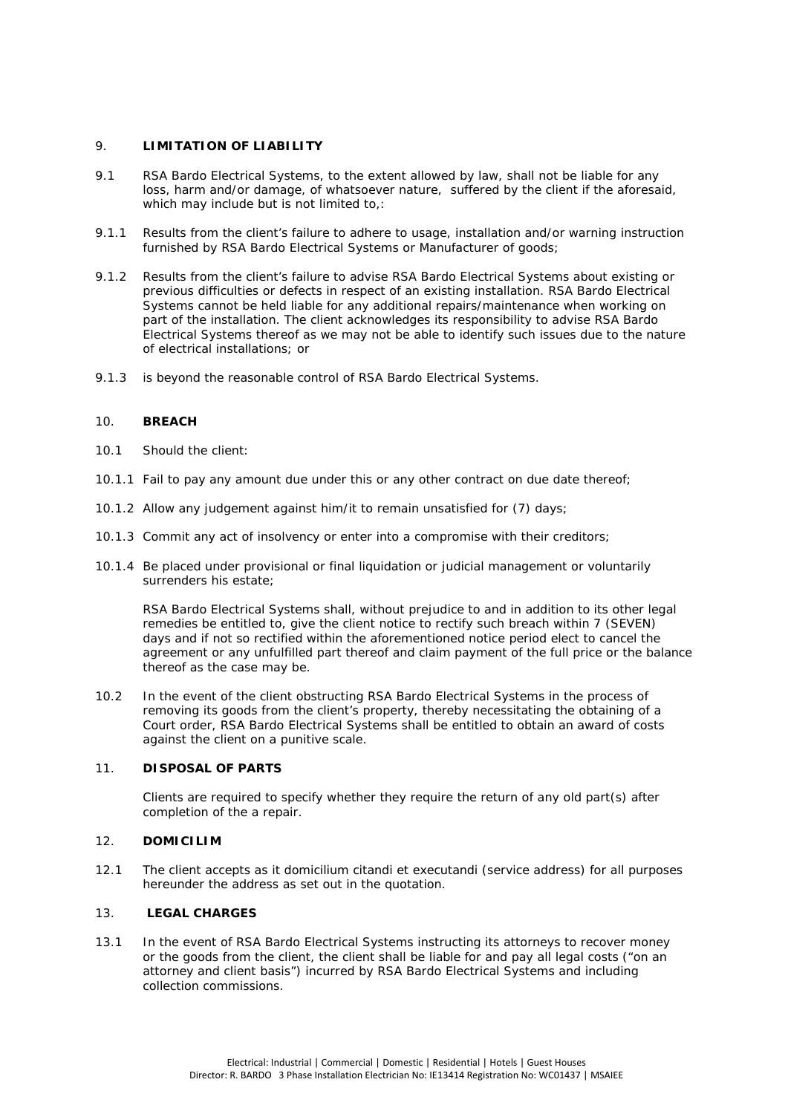### 9. **LIMITATION OF LIABILITY**

- 9.1 RSA Bardo Electrical Systems, to the extent allowed by law, shall not be liable for any loss, harm and/or damage, of whatsoever nature, suffered by the client if the aforesaid, which may include but is not limited to.:
- 9.1.1 Results from the client's failure to adhere to usage, installation and/or warning instruction furnished by RSA Bardo Electrical Systems or Manufacturer of goods;
- 9.1.2 Results from the client's failure to advise RSA Bardo Electrical Systems about existing or previous difficulties or defects in respect of an existing installation. RSA Bardo Electrical Systems cannot be held liable for any additional repairs/maintenance when working on part of the installation. The client acknowledges its responsibility to advise RSA Bardo Electrical Systems thereof as we may not be able to identify such issues due to the nature of electrical installations; or
- 9.1.3 is beyond the reasonable control of RSA Bardo Electrical Systems.

### 10. **BREACH**

- 10.1 Should the client:
- 10.1.1 Fail to pay any amount due under this or any other contract on due date thereof;
- 10.1.2 Allow any judgement against him/it to remain unsatisfied for (7) days;
- 10.1.3 Commit any act of insolvency or enter into a compromise with their creditors;
- 10.1.4 Be placed under provisional or final liquidation or judicial management or voluntarily surrenders his estate;

RSA Bardo Electrical Systems shall, without prejudice to and in addition to its other legal remedies be entitled to, give the client notice to rectify such breach within 7 (SEVEN) days and if not so rectified within the aforementioned notice period elect to cancel the agreement or any unfulfilled part thereof and claim payment of the full price or the balance thereof as the case may be.

10.2 In the event of the client obstructing RSA Bardo Electrical Systems in the process of removing its goods from the client's property, thereby necessitating the obtaining of a Court order, RSA Bardo Electrical Systems shall be entitled to obtain an award of costs against the client on a punitive scale.

#### 11. **DISPOSAL OF PARTS**

Clients are required to specify whether they require the return of any old part(s) after completion of the a repair.

### 12. **DOMICILIM**

12.1 The client accepts as it domicilium citandi et executandi (service address) for all purposes hereunder the address as set out in the quotation.

# 13. **LEGAL CHARGES**

13.1 In the event of RSA Bardo Electrical Systems instructing its attorneys to recover money or the goods from the client, the client shall be liable for and pay all legal costs ("on an attorney and client basis") incurred by RSA Bardo Electrical Systems and including collection commissions.